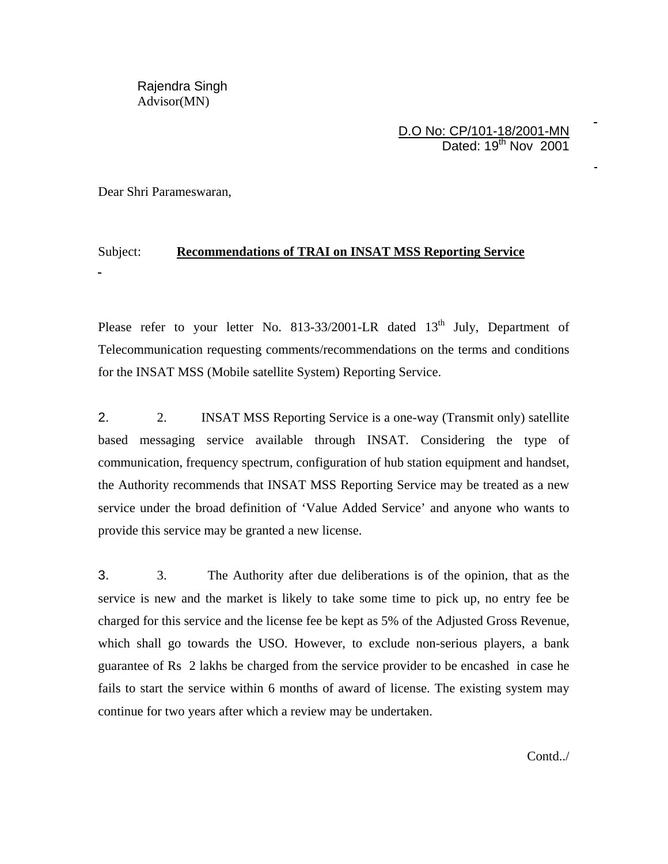Rajendra Singh Advisor(MN)

> D.O No: CP/101-18/2001-MN Dated: 19<sup>th</sup> Nov 2001

Dear Shri Parameswaran,

#### Subject: **Recommendations of TRAI on INSAT MSS Reporting Service**

Please refer to your letter No. 813-33/2001-LR dated  $13<sup>th</sup>$  July, Department of Telecommunication requesting comments/recommendations on the terms and conditions for the INSAT MSS (Mobile satellite System) Reporting Service.

2. 2. INSAT MSS Reporting Service is a one-way (Transmit only) satellite based messaging service available through INSAT. Considering the type of communication, frequency spectrum, configuration of hub station equipment and handset, the Authority recommends that INSAT MSS Reporting Service may be treated as a new service under the broad definition of 'Value Added Service' and anyone who wants to provide this service may be granted a new license.

3. 3. The Authority after due deliberations is of the opinion, that as the service is new and the market is likely to take some time to pick up, no entry fee be charged for this service and the license fee be kept as 5% of the Adjusted Gross Revenue, which shall go towards the USO. However, to exclude non-serious players, a bank guarantee of Rs 2 lakhs be charged from the service provider to be encashed in case he fails to start the service within 6 months of award of license. The existing system may continue for two years after which a review may be undertaken.

Contd../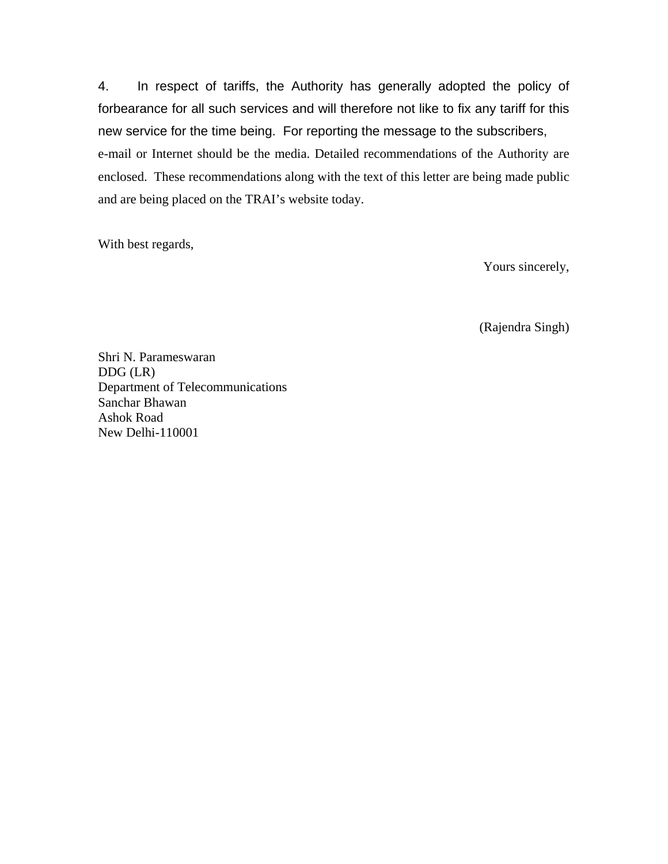4. In respect of tariffs, the Authority has generally adopted the policy of forbearance for all such services and will therefore not like to fix any tariff for this new service for the time being. For reporting the message to the subscribers, e-mail or Internet should be the media. Detailed recommendations of the Authority are enclosed. These recommendations along with the text of this letter are being made public and are being placed on the TRAI's website today.

With best regards,

Yours sincerely,

(Rajendra Singh)

Shri N. Parameswaran DDG (LR) Department of Telecommunications Sanchar Bhawan Ashok Road New Delhi-110001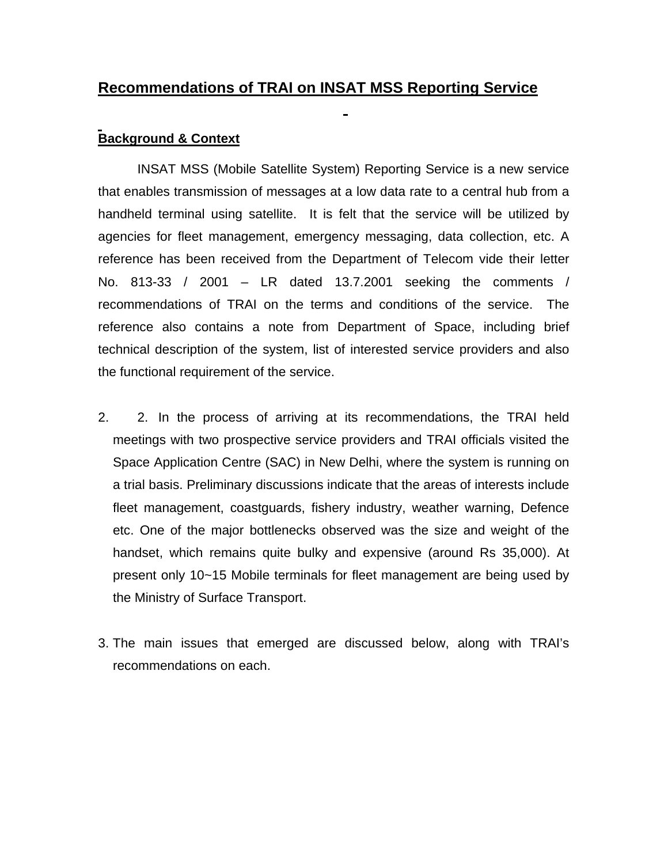## **Recommendations of TRAI on INSAT MSS Reporting Service**

### **Background & Context**

INSAT MSS (Mobile Satellite System) Reporting Service is a new service that enables transmission of messages at a low data rate to a central hub from a handheld terminal using satellite. It is felt that the service will be utilized by agencies for fleet management, emergency messaging, data collection, etc. A reference has been received from the Department of Telecom vide their letter No. 813-33 / 2001 – LR dated 13.7.2001 seeking the comments / recommendations of TRAI on the terms and conditions of the service. The reference also contains a note from Department of Space, including brief technical description of the system, list of interested service providers and also the functional requirement of the service.

- 2. 2. In the process of arriving at its recommendations, the TRAI held meetings with two prospective service providers and TRAI officials visited the Space Application Centre (SAC) in New Delhi, where the system is running on a trial basis. Preliminary discussions indicate that the areas of interests include fleet management, coastguards, fishery industry, weather warning, Defence etc. One of the major bottlenecks observed was the size and weight of the handset, which remains quite bulky and expensive (around Rs 35,000). At present only 10~15 Mobile terminals for fleet management are being used by the Ministry of Surface Transport.
- 3. The main issues that emerged are discussed below, along with TRAI's recommendations on each.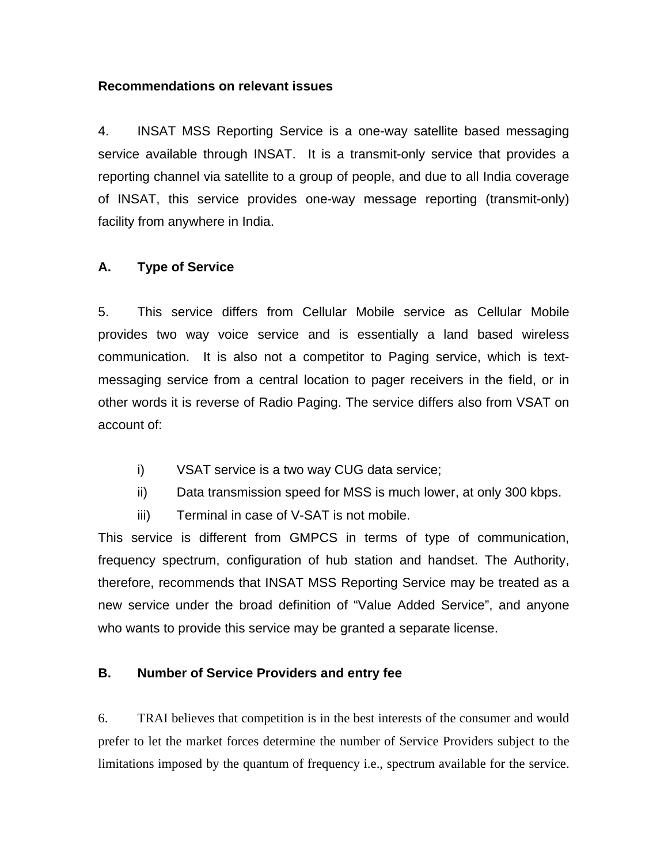### **Recommendations on relevant issues**

4. INSAT MSS Reporting Service is a one-way satellite based messaging service available through INSAT. It is a transmit-only service that provides a reporting channel via satellite to a group of people, and due to all India coverage of INSAT, this service provides one-way message reporting (transmit-only) facility from anywhere in India.

### **A. Type of Service**

5. This service differs from Cellular Mobile service as Cellular Mobile provides two way voice service and is essentially a land based wireless communication. It is also not a competitor to Paging service, which is textmessaging service from a central location to pager receivers in the field, or in other words it is reverse of Radio Paging. The service differs also from VSAT on account of:

- i) VSAT service is a two way CUG data service;
- ii) Data transmission speed for MSS is much lower, at only 300 kbps.
- iii) Terminal in case of V-SAT is not mobile.

This service is different from GMPCS in terms of type of communication, frequency spectrum, configuration of hub station and handset. The Authority, therefore, recommends that INSAT MSS Reporting Service may be treated as a new service under the broad definition of "Value Added Service", and anyone who wants to provide this service may be granted a separate license.

### **B. Number of Service Providers and entry fee**

6. TRAI believes that competition is in the best interests of the consumer and would prefer to let the market forces determine the number of Service Providers subject to the limitations imposed by the quantum of frequency i.e., spectrum available for the service.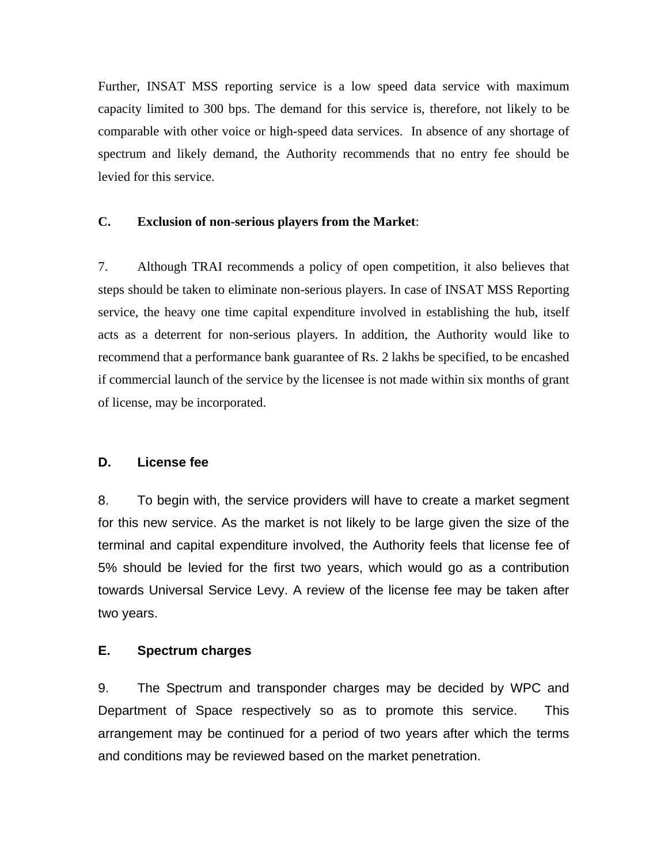Further, INSAT MSS reporting service is a low speed data service with maximum capacity limited to 300 bps. The demand for this service is, therefore, not likely to be comparable with other voice or high-speed data services. In absence of any shortage of spectrum and likely demand, the Authority recommends that no entry fee should be levied for this service.

#### **C. Exclusion of non-serious players from the Market**:

7. Although TRAI recommends a policy of open competition, it also believes that steps should be taken to eliminate non-serious players. In case of INSAT MSS Reporting service, the heavy one time capital expenditure involved in establishing the hub, itself acts as a deterrent for non-serious players. In addition, the Authority would like to recommend that a performance bank guarantee of Rs. 2 lakhs be specified, to be encashed if commercial launch of the service by the licensee is not made within six months of grant of license, may be incorporated.

#### **D. License fee**

8. To begin with, the service providers will have to create a market segment for this new service. As the market is not likely to be large given the size of the terminal and capital expenditure involved, the Authority feels that license fee of 5% should be levied for the first two years, which would go as a contribution towards Universal Service Levy. A review of the license fee may be taken after two years.

### **E. Spectrum charges**

9. The Spectrum and transponder charges may be decided by WPC and Department of Space respectively so as to promote this service. This arrangement may be continued for a period of two years after which the terms and conditions may be reviewed based on the market penetration.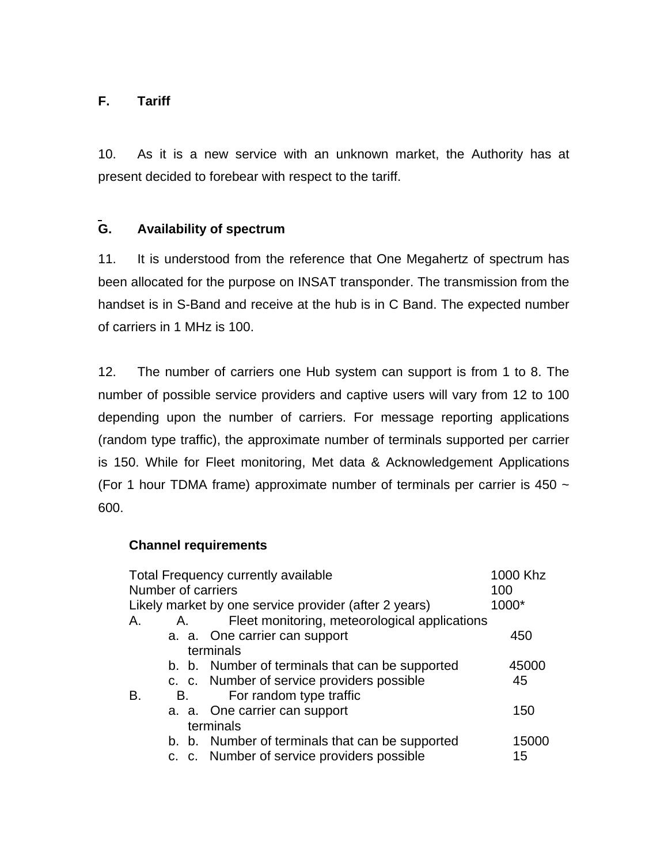## **F. Tariff**

10. As it is a new service with an unknown market, the Authority has at present decided to forebear with respect to the tariff.

## **G. Availability of spectrum**

11. It is understood from the reference that One Megahertz of spectrum has been allocated for the purpose on INSAT transponder. The transmission from the handset is in S-Band and receive at the hub is in C Band. The expected number of carriers in 1 MHz is 100.

12. The number of carriers one Hub system can support is from 1 to 8. The number of possible service providers and captive users will vary from 12 to 100 depending upon the number of carriers. For message reporting applications (random type traffic), the approximate number of terminals supported per carrier is 150. While for Fleet monitoring, Met data & Acknowledgement Applications (For 1 hour TDMA frame) approximate number of terminals per carrier is  $450 \sim$ 600.

### **Channel requirements**

| <b>Total Frequency currently available</b>            |    |  |                                                 | 1000 Khz |
|-------------------------------------------------------|----|--|-------------------------------------------------|----------|
| Number of carriers                                    |    |  |                                                 | 100      |
| Likely market by one service provider (after 2 years) |    |  |                                                 | 1000*    |
| A.                                                    | Α. |  | Fleet monitoring, meteorological applications   |          |
|                                                       |    |  | a. a. One carrier can support                   | 450      |
|                                                       |    |  | terminals                                       |          |
|                                                       |    |  | b. b. Number of terminals that can be supported | 45000    |
|                                                       |    |  | c. c. Number of service providers possible      | 45       |
| В.                                                    | В. |  | For random type traffic                         |          |
|                                                       |    |  | a. a. One carrier can support                   | 150      |
|                                                       |    |  | terminals                                       |          |
|                                                       |    |  | b. b. Number of terminals that can be supported | 15000    |
|                                                       |    |  | c. c. Number of service providers possible      | 15       |
|                                                       |    |  |                                                 |          |